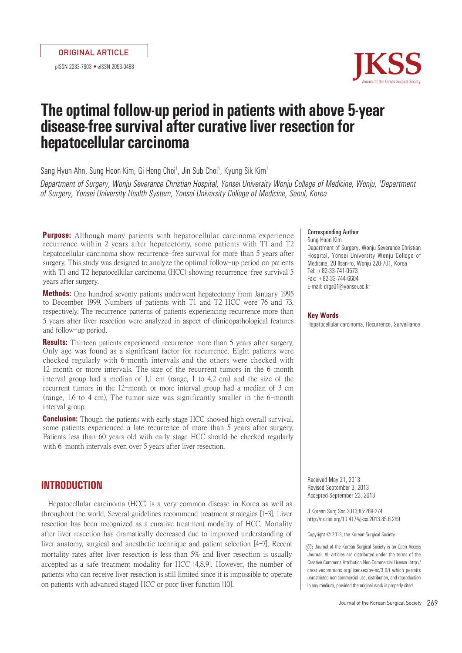pISSN 2233-7903 •eISSN 2093-0488



### **The optimal follow-up period in patients with above 5-year disease-free survival after curative liver resection for hepatocellular carcinoma**

Sang Hyun Ahn, Sung Hoon Kim, Gi Hong Choi<sup>1</sup>, Jin Sub Choi<sup>1</sup>, Kyung Sik Kim<sup>1</sup>

Department of Surgery, Wonju Severance Christian Hospital, Yonsei University Wonju College of Medicine, Wonju, <sup>1</sup>Department of Surgery, Yonsei University Health System, Yonsei University College of Medicine, Seoul, Korea

**Purpose:** Although many patients with hepatocellular carcinoma experience recurrence within 2 years after hepatectomy, some patients with T1 and T2 hepatocellular carcinoma show recurrence-free survival for more than 5 years after surgery. This study was designed to analyze the optimal follow-up period on patients with T1 and T2 hepatocellular carcinoma (HCC) showing recurrence-free survival 5 years after surgery.

**Methods:** One hundred seventy patients underwent hepatectomy from January 1995 to December 1999. Numbers of patients with T1 and T2 HCC were 76 and 73, respectively. The recurrence patterns of patients experiencing recurrence more than 5 years after liver resection were analyzed in aspect of clinicopathological features and follow-up period.

**Results:** Thirteen patients experienced recurrence more than 5 years after surgery. Only age was found as a significant factor for recurrence. Eight patients were checked regularly with 6-month intervals and the others were checked with 12-month or more intervals. The size of the recurrent tumors in the 6-month interval group had a median of 1.1 cm (range, 1 to 4.2 cm) and the size of the recurrent tumors in the 12-month or more interval group had a median of 3 cm (range, 1.6 to 4 cm). The tumor size was significantly smaller in the 6-month interval group.

**Conclusion:** Though the patients with early stage HCC showed high overall survival, some patients experienced a late recurrence of more than 5 years after surgery. Patients less than 60 years old with early stage HCC should be checked regularly with 6-month intervals even over 5 years after liver resection.

#### **INTRODUCTION**

Hepatocellular carcinoma (HCC) is a very common disease in Korea as well as throughout the world. Several guidelines recommend treatment strategies [1-3]. Liver resection has been recognized as a curative treatment modality of HCC. Mortality after liver resection has dramatically decreased due to improved understanding of liver anatomy, surgical and anesthetic technique and patient selection [4-7]. Recent mortality rates after liver resection is less than 5% and liver resection is usually accepted as a safe treatment modality for HCC [4,8,9]. However, the number of patients who can receive liver resection is still limited since it is impossible to operate on patients with advanced staged HCC or poor liver function [10].

#### Corresponding Author Sung Hoon Kim Department of Surgery, Wonju Severance Christian Hospital, Yonsei University Wonju College of Medicine, 20 Ilsan-ro, Wonju 220-701, Korea Tel: +82-33-741-0573 Fax: +82-33-744-6604 E-mail: drgs01@yonsei.ac.kr

#### **Key Words**

Hepatocellular carcinoma, Recurrence, Surveillance

Received May 21, 2013 Revised September 3, 2013 Accepted September 23, 2013

J Korean Surg Soc 2013;85:269-274 http://dx.doi.org/10.4174/jkss.2013.85.6.269

Copyright © 2013, the Korean Surgical Society

cc Journal of the Korean Surgical Society is an Open Access Journal. All articles are distributed under the terms of the Creative Commons Attribution Non-Commercial License (http:// creativecommons.org/licenses/by-nc/3.0/) which permits unrestricted non-commercial use, distribution, and reproduction in any medium, provided the original work is properly cited.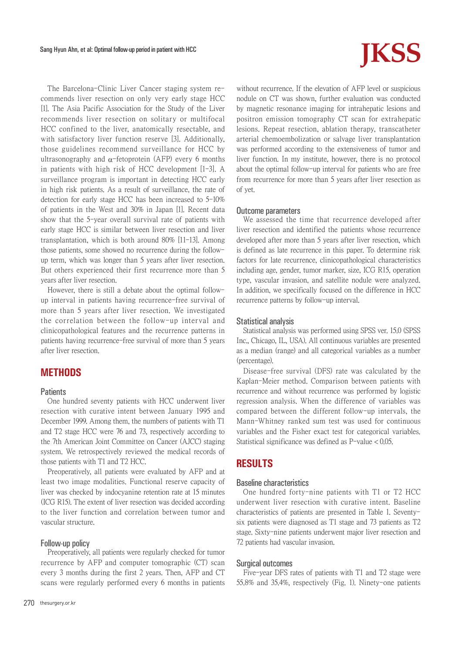The Barcelona-Clinic Liver Cancer staging system recommends liver resection on only very early stage HCC [1]. The Asia Pacific Association for the Study of the Liver recommends liver resection on solitary or multifocal HCC confined to the liver, anatomically resectable, and with satisfactory liver function reserve [3]. Additionally, those guidelines recommend surveillance for HCC by ultrasonography and  $\alpha$ -fetoprotein (AFP) every 6 months in patients with high risk of HCC development [1-3]. A surveillance program is important in detecting HCC early in high risk patients. As a result of surveillance, the rate of detection for early stage HCC has been increased to 5-10% of patients in the West and 30% in Japan [1]. Recent data show that the 5-year overall survival rate of patients with early stage HCC is similar between liver resection and liver transplantation, which is both around 80% [11-13]. Among those patients, some showed no recurrence during the followup term, which was longer than 5 years after liver resection. But others experienced their first recurrence more than 5 years after liver resection.

However, there is still a debate about the optimal followup interval in patients having recurrence-free survival of more than 5 years after liver resection. We investigated the correlation between the follow-up interval and clinicopathological features and the recurrence patterns in patients having recurrence-free survival of more than 5 years after liver resection.

#### **METHODS**

#### **Patients**

One hundred seventy patients with HCC underwent liver resection with curative intent between January 1995 and December 1999. Among them, the numbers of patients with T1 and T2 stage HCC were 76 and 73, respectively according to the 7th American Joint Committee on Cancer (AJCC) staging system. We retrospectively reviewed the medical records of those patients with T1 and T2 HCC.

Preoperatively, all patients were evaluated by AFP and at least two image modalities. Functional reserve capacity of liver was checked by indocyanine retention rate at 15 minutes (ICG R15). The extent of liver resection was decided according to the liver function and correlation between tumor and vascular structure.

#### Follow-up policy

Preoperatively, all patients were regularly checked for tumor recurrence by AFP and computer tomographic (CT) scan every 3 months during the first 2 years. Then, AFP and CT scans were regularly performed every 6 months in patients

# Sang Hyun Ahn, et al: Optimal follow-up period in patient with HCC **Sang Hyun Ahn, et al: Optimal follow-up period in patient with HCC <b>Sang All S**

without recurrence. If the elevation of AFP level or suspicious nodule on CT was shown, further evaluation was conducted by magnetic resonance imaging for intrahepatic lesions and positron emission tomography CT scan for extrahepatic lesions. Repeat resection, ablation therapy, transcatheter arterial chemoembolization or salvage liver transplantation was performed according to the extensiveness of tumor and liver function. In my institute, however, there is no protocol about the optimal follow-up interval for patients who are free from recurrence for more than 5 years after liver resection as of yet.

#### Outcome parameters

We assessed the time that recurrence developed after liver resection and identified the patients whose recurrence developed after more than 5 years after liver resection, which is defined as late recurrence in this paper. To determine risk factors for late recurrence, clinicopathological characteristics including age, gender, tumor marker, size, ICG R15, operation type, vascular invasion, and satellite nodule were analyzed. In addition, we specifically focused on the difference in HCC recurrence patterns by follow-up interval.

#### Statistical analysis

Statistical analysis was performed using SPSS ver. 15.0 (SPSS Inc., Chicago, IL, USA). All continuous variables are presented as a median (range) and all categorical variables as a number (percentage).

Disease-free survival (DFS) rate was calculated by the Kaplan-Meier method. Comparison between patients with recurrence and without recurrence was performed by logistic regression analysis. When the difference of variables was compared between the different follow-up intervals, the Mann-Whitney ranked sum test was used for continuous variables and the Fisher exact test for categorical variables. Statistical significance was defined as P-value < 0.05.

#### **RESULTS**

#### Baseline characteristics

One hundred forty-nine patients with T1 or T2 HCC underwent liver resection with curative intent. Baseline characteristics of patients are presented in Table 1. Seventysix patients were diagnosed as T1 stage and 73 patients as T2 stage. Sixty-nine patients underwent major liver resection and 72 patients had vascular invasion.

#### Surgical outcomes

Five-year DFS rates of patients with T1 and T2 stage were 55.8% and 35.4%, respectively (Fig. 1). Ninety-one patients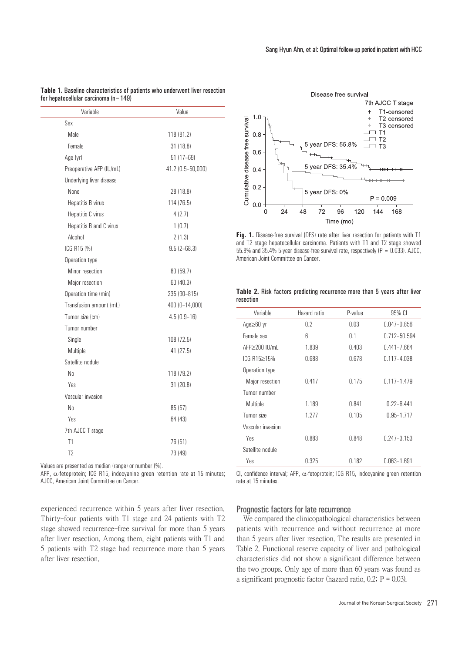| Variable                 | Value             |  |
|--------------------------|-------------------|--|
| Sex                      |                   |  |
| Male                     | 118 (81.2)        |  |
| Female                   | 31 (18.8)         |  |
| Age (yr)                 | $51(17 - 69)$     |  |
| Preoperative AFP (IU/mL) | 41.2 (0.5-50,000) |  |
| Underlying liver disease |                   |  |
| None                     | 28 (18.8)         |  |
| Hepatitis B virus        | 114 (76.5)        |  |
| Hepatitis C virus        | 4(2.7)            |  |
| Hepatitis B and C virus  | 1(0.7)            |  |
| Alcohol                  | 2(1.3)            |  |
| ICG R15 (%)              | $9.5(2 - 68.3)$   |  |
| Operation type           |                   |  |
| Minor resection          | 80 (59.7)         |  |
| Major resection          | 60 (40.3)         |  |
| Operation time (min)     | 235 (90-815)      |  |
| Transfusion amount (mL)  | 400 (0-14,000)    |  |
| Tumor size (cm)          | $4.5(0.9-16)$     |  |
| Tumor number             |                   |  |
| Single                   | 108 (72.5)        |  |
| Multiple<br>41 (27.5)    |                   |  |
| Satellite nodule         |                   |  |
| No.                      | 118 (79.2)        |  |
| Yes                      | 31 (20.8)         |  |
| Vascular invasion        |                   |  |
| No.                      | 85 (57)           |  |
| Yes                      | 64 (43)           |  |
| 7th AJCC T stage         |                   |  |
| T1                       | 76 (51)           |  |
| T <sub>2</sub>           | 73 (49)           |  |
|                          |                   |  |

**Table 1.** Baseline characteristics of patients who underwent liver resection for hepatocellular carcinoma  $(n=149)$ 

Values are presented as median (range) or number (%).

AFP,  $\alpha$ -fetoprotein; ICG R15, indocyanine green retention rate at 15 minutes; AJCC, American Joint Committee on Cancer.

experienced recurrence within 5 years after liver resection. Thirty-four patients with T1 stage and 24 patients with T2 stage showed recurrence-free survival for more than 5 years after liver resection. Among them, eight patients with T1 and 5 patients with T2 stage had recurrence more than 5 years after liver resection.



**Fig. 1.** Disease-free survival (DFS) rate after liver resection for patients with T1 and T2 stage hepatocellular carcinoma. Patients with T1 and T2 stage showed 55.8% and  $35.4\%$  5-year disease-free survival rate, respectively (P = 0.033). AJCC, American Joint Committee on Cancer.

**Table 2.** Risk factors predicting recurrence more than 5 years after liver resection

| Variable          | Hazard ratio | P-value | 95% CI          |
|-------------------|--------------|---------|-----------------|
| Age≥60 yr         | 0.2          | 0.03    | $0.047 - 0.856$ |
| Female sex        | 6            | 0.1     | 0.712-50.594    |
| AFP>200 IU/mL     | 1.839        | 0.403   | $0.441 - 7.664$ |
| ICG R15>15%       | 0.688        | 0.678   | $0.117 - 4.038$ |
| Operation type    |              |         |                 |
| Major resection   | 0.417        | 0.175   | $0.117 - 1.479$ |
| Tumor numher      |              |         |                 |
| Multiple          | 1.189        | 0.841   | $0.22 - 6.441$  |
| Tumor size        | 1.277        | 0.105   | 0.95-1.717      |
| Vascular invasion |              |         |                 |
| Yes               | 0.883        | 0.848   | 0.247-3.153     |
| Satellite nodule  |              |         |                 |
| Yes               | 0.325        | 0.182   | $0.063 - 1.691$ |

CI, confidence interval; AFP,  $\alpha$ -fetoprotein; ICG R15, indocyanine green retention rate at 15 minutes.

#### Prognostic factors for late recurrence

We compared the clinicopathological characteristics between patients with recurrence and without recurrence at more than 5 years after liver resection. The results are presented in Table 2. Functional reserve capacity of liver and pathological characteristics did not show a significant difference between the two groups. Only age of more than 60 years was found as a significant prognostic factor (hazard ratio,  $0.2$ ;  $P = 0.03$ ).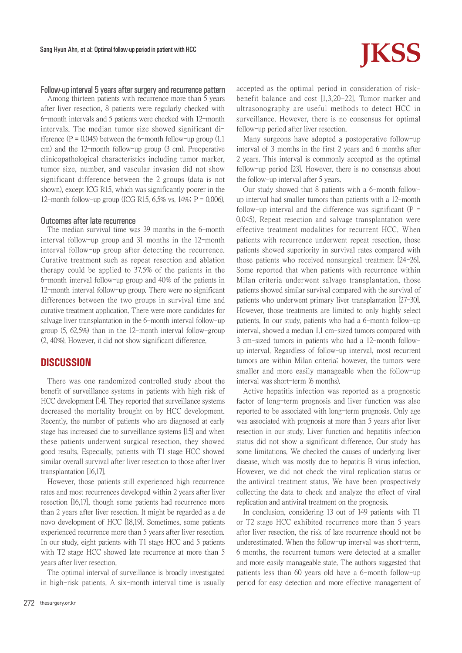#### Follow-up interval 5 years after surgery and recurrence pattern

Among thirteen patients with recurrence more than 5 years after liver resection, 8 patients were regularly checked with 6-month intervals and 5 patients were checked with 12-month intervals. The median tumor size showed significant difference ( $P = 0.045$ ) between the 6-month follow-up group (1.1) cm) and the 12-month follow-up group (3 cm). Preoperative clinicopathological characteristics including tumor marker, tumor size, number, and vascular invasion did not show significant difference between the 2 groups (data is not shown), except ICG R15, which was significantly poorer in the 12-month follow-up group (ICG R15, 6.5% vs. 14%;  $P = 0.006$ ).

#### Outcomes after late recurrence

The median survival time was 39 months in the 6-month interval follow-up group and 31 months in the 12-month interval follow-up group after detecting the recurrence. Curative treatment such as repeat resection and ablation therapy could be applied to 37.5% of the patients in the 6-month interval follow-up group and 40% of the patients in 12-month interval follow-up group. There were no significant differences between the two groups in survival time and curative treatment application. There were more candidates for salvage liver transplantation in the 6-month interval follow-up group (5, 62.5%) than in the 12-month interval follow-group (2, 40%). However, it did not show significant difference.

#### **DISCUSSION**

There was one randomized controlled study about the benefit of surveillance systems in patients with high risk of HCC development [14]. They reported that surveillance systems decreased the mortality brought on by HCC development. Recently, the number of patients who are diagnosed at early stage has increased due to surveillance systems [15] and when these patients underwent surgical resection, they showed good results. Especially, patients with T1 stage HCC showed similar overall survival after liver resection to those after liver transplantation [16,17].

However, those patients still experienced high recurrence rates and most recurrences developed within 2 years after liver resection [16,17], though some patients had recurrence more than 2 years after liver resection. It might be regarded as a de novo development of HCC [18,19]. Sometimes, some patients experienced recurrence more than 5 years after liver resection. In our study, eight patients with T1 stage HCC and 5 patients with T2 stage HCC showed late recurrence at more than 5 years after liver resection.

The optimal interval of surveillance is broadly investigated in high-risk patients. A six-month interval time is usually

## Sang Hyun Ahn, et al: Optimal follow-up period in patient with HCC **Sang Hyun Ahn, et al: Optimal follow-up period in patient with HCC <b>Sang All STS**

accepted as the optimal period in consideration of riskbenefit balance and cost [1,3,20-22]. Tumor marker and ultrasonography are useful methods to detect HCC in surveillance. However, there is no consensus for optimal follow-up period after liver resection.

Many surgeons have adopted a postoperative follow-up interval of 3 months in the first 2 years and 6 months after 2 years. This interval is commonly accepted as the optimal follow-up period [23]. However, there is no consensus about the follow-up interval after 5 years.

Our study showed that 8 patients with a 6-month followup interval had smaller tumors than patients with a 12-month follow-up interval and the difference was significant  $(P =$ 0.045). Repeat resection and salvage transplantation were effective treatment modalities for recurrent HCC. When patients with recurrence underwent repeat resection, those patients showed superiority in survival rates compared with those patients who received nonsurgical treatment [24-26]. Some reported that when patients with recurrence within Milan criteria underwent salvage transplantation, those patients showed similar survival compared with the survival of patients who underwent primary liver transplantation [27-30]. However, those treatments are limited to only highly select patients. In our study, patients who had a 6-month follow-up interval, showed a median 1.1 cm-sized tumors compared with 3 cm-sized tumors in patients who had a 12-month followup interval. Regardless of follow-up interval, most recurrent tumors are within Milan criteria; however, the tumors were smaller and more easily manageable when the follow-up interval was short-term (6 months).

Active hepatitis infection was reported as a prognostic factor of long-term prognosis and liver function was also reported to be associated with long-term prognosis. Only age was associated with prognosis at more than 5 years after liver resection in our study. Liver function and hepatitis infection status did not show a significant difference. Our study has some limitations. We checked the causes of underlying liver disease, which was mostly due to hepatitis B virus infection. However, we did not check the viral replication status or the antiviral treatment status. We have been prospectively collecting the data to check and analyze the effect of viral replication and antiviral treatment on the prognosis.

In conclusion, considering 13 out of 149 patients with T1 or T2 stage HCC exhibited recurrence more than 5 years after liver resection, the risk of late recurrence should not be underestimated. When the follow-up interval was short-term, 6 months, the recurrent tumors were detected at a smaller and more easily manageable state. The authors suggested that patients less than 60 years old have a 6-month follow-up period for easy detection and more effective management of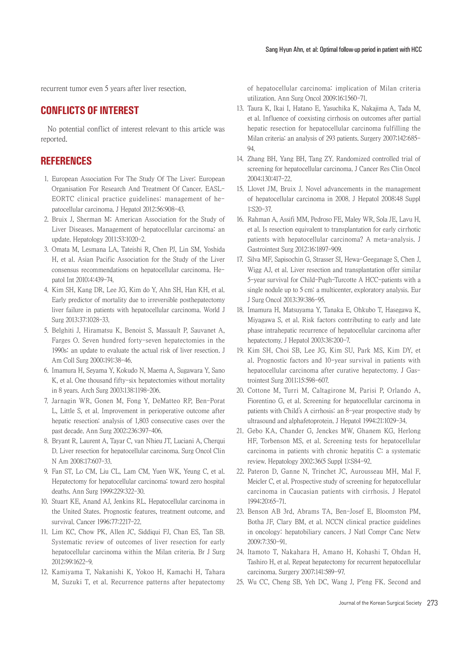recurrent tumor even 5 years after liver resection.

#### **CONFLICTS OF INTEREST**

No potential conflict of interest relevant to this article was reported.

#### **REFERENCES**

- 1. European Association For The Study Of The Liver; European Organisation For Research And Treatment Of Cancer. EASL-EORTC clinical practice guidelines: management of hepatocellular carcinoma. J Hepatol 2012;56:908-43.
- 2. Bruix J, Sherman M; American Association for the Study of Liver Diseases. Management of hepatocellular carcinoma: an update. Hepatology 2011;53:1020-2.
- 3. Omata M, Lesmana LA, Tateishi R, Chen PJ, Lin SM, Yoshida H, et al. Asian Pacific Association for the Study of the Liver consensus recommendations on hepatocellular carcinoma. Hepatol Int 2010;4:439-74.
- 4. Kim SH, Kang DR, Lee JG, Kim do Y, Ahn SH, Han KH, et al. Early predictor of mortality due to irreversible posthepatectomy liver failure in patients with hepatocellular carcinoma. World J Surg 2013;37:1028-33.
- 5. Belghiti J, Hiramatsu K, Benoist S, Massault P, Sauvanet A, Farges O. Seven hundred forty-seven hepatectomies in the 1990s: an update to evaluate the actual risk of liver resection. J Am Coll Surg 2000;191:38-46.
- 6. Imamura H, Seyama Y, Kokudo N, Maema A, Sugawara Y, Sano K, et al. One thousand fifty-six hepatectomies without mortality in 8 years. Arch Surg 2003;138:1198-206.
- 7. Jarnagin WR, Gonen M, Fong Y, DeMatteo RP, Ben-Porat L, Little S, et al. Improvement in perioperative outcome after hepatic resection: analysis of 1,803 consecutive cases over the past decade. Ann Surg 2002;236:397-406.
- 8. Bryant R, Laurent A, Tayar C, van Nhieu JT, Luciani A, Cherqui D. Liver resection for hepatocellular carcinoma. Surg Oncol Clin N Am 2008;17:607-33.
- 9. Fan ST, Lo CM, Liu CL, Lam CM, Yuen WK, Yeung C, et al. Hepatectomy for hepatocellular carcinoma: toward zero hospital deaths. Ann Surg 1999;229:322-30.
- 10. Stuart KE, Anand AJ, Jenkins RL. Hepatocellular carcinoma in the United States. Prognostic features, treatment outcome, and survival. Cancer 1996;77:2217-22.
- 11. Lim KC, Chow PK, Allen JC, Siddiqui FJ, Chan ES, Tan SB. Systematic review of outcomes of liver resection for early hepatocellular carcinoma within the Milan criteria. Br J Surg 2012;99:1622-9.
- 12. Kamiyama T, Nakanishi K, Yokoo H, Kamachi H, Tahara M, Suzuki T, et al. Recurrence patterns after hepatectomy

of hepatocellular carcinoma: implication of Milan criteria utilization. Ann Surg Oncol 2009;16:1560-71.

- 13. Taura K, Ikai I, Hatano E, Yasuchika K, Nakajima A, Tada M, et al. Influence of coexisting cirrhosis on outcomes after partial hepatic resection for hepatocellular carcinoma fulfilling the Milan criteria: an analysis of 293 patients. Surgery 2007;142:685- 94.
- 14. Zhang BH, Yang BH, Tang ZY. Randomized controlled trial of screening for hepatocellular carcinoma. J Cancer Res Clin Oncol 2004;130:417-22.
- 15. Llovet JM, Bruix J. Novel advancements in the management of hepatocellular carcinoma in 2008. J Hepatol 2008;48 Suppl 1:S20-37.
- 16. Rahman A, Assifi MM, Pedroso FE, Maley WR, Sola JE, Lavu H, et al. Is resection equivalent to transplantation for early cirrhotic patients with hepatocellular carcinoma? A meta-analysis. J Gastrointest Surg 2012;16:1897-909.
- 17. Silva MF, Sapisochin G, Strasser SI, Hewa-Geeganage S, Chen J, Wigg AJ, et al. Liver resection and transplantation offer similar 5-year survival for Child-Pugh-Turcotte A HCC-patients with a single nodule up to 5 cm: a multicenter, exploratory analysis. Eur J Surg Oncol 2013;39:386-95.
- 18. Imamura H, Matsuyama Y, Tanaka E, Ohkubo T, Hasegawa K, Miyagawa S, et al. Risk factors contributing to early and late phase intrahepatic recurrence of hepatocellular carcinoma after hepatectomy. J Hepatol 2003;38:200-7.
- 19. Kim SH, Choi SB, Lee JG, Kim SU, Park MS, Kim DY, et al. Prognostic factors and 10-year survival in patients with hepatocellular carcinoma after curative hepatectomy. J Gastrointest Surg 2011;15:598-607.
- 20. Cottone M, Turri M, Caltagirone M, Parisi P, Orlando A, Fiorentino G, et al. Screening for hepatocellular carcinoma in patients with Child's A cirrhosis: an 8-year prospective study by ultrasound and alphafetoprotein. J Hepatol 1994;21:1029-34.
- 21. Gebo KA, Chander G, Jenckes MW, Ghanem KG, Herlong HF, Torbenson MS, et al. Screening tests for hepatocellular carcinoma in patients with chronic hepatitis C: a systematic review. Hepatology 2002;36(5 Suppl 1):S84-92.
- 22. Pateron D, Ganne N, Trinchet JC, Aurousseau MH, Mal F, Meicler C, et al. Prospective study of screening for hepatocellular carcinoma in Caucasian patients with cirrhosis. J Hepatol 1994;20:65-71.
- 23. Benson AB 3rd, Abrams TA, Ben-Josef E, Bloomston PM, Botha JF, Clary BM, et al. NCCN clinical practice guidelines in oncology: hepatobiliary cancers. J Natl Compr Canc Netw 2009;7:350-91.
- 24. Itamoto T, Nakahara H, Amano H, Kohashi T, Ohdan H, Tashiro H, et al. Repeat hepatectomy for recurrent hepatocellular carcinoma. Surgery 2007;141:589-97.
- 25. Wu CC, Cheng SB, Yeh DC, Wang J, P'eng FK. Second and